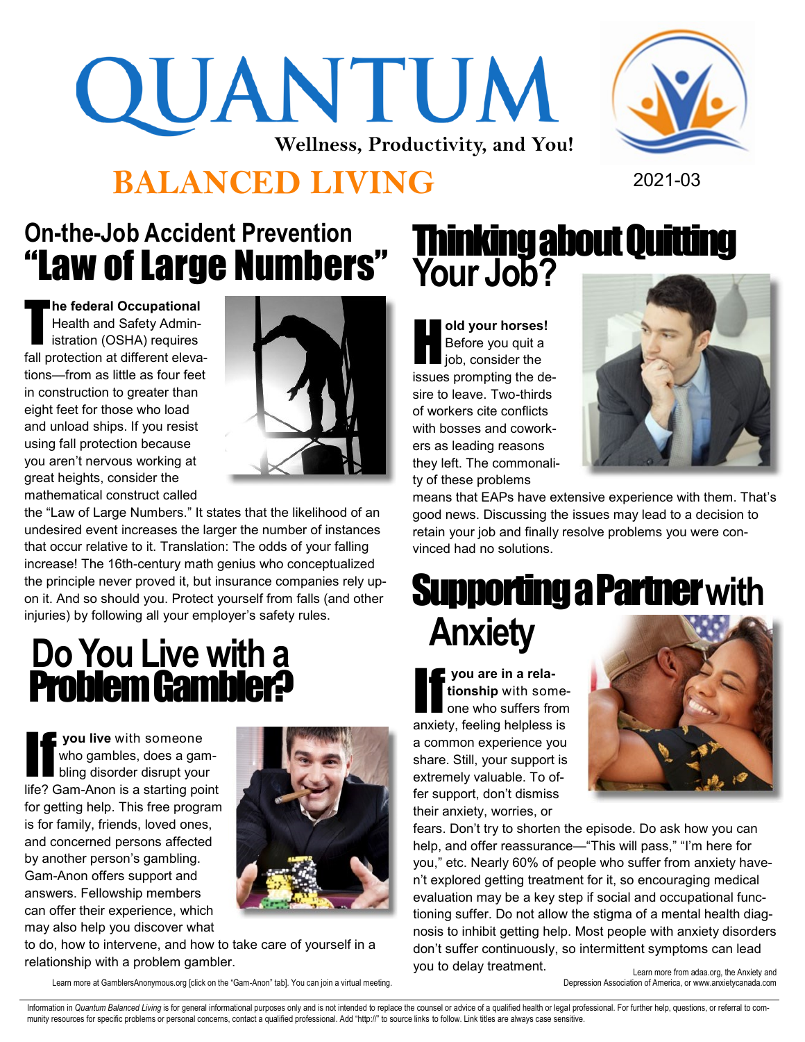# QUANTUM **Wellness, Productivity, and You!**





### **On-the-Job Accident Prevention** "Law of Large Numbers"

T **he federal Occupational**  Health and Safety Administration (OSHA) requires fall protection at different elevations—from as little as four feet in construction to greater than eight feet for those who load and unload ships. If you resist using fall protection because you aren't nervous working at great heights, consider the mathematical construct called



the "Law of Large Numbers." It states that the likelihood of an undesired event increases the larger the number of instances that occur relative to it. Translation: The odds of your falling increase! The 16th-century math genius who conceptualized the principle never proved it, but insurance companies rely upon it. And so should you. Protect yourself from falls (and other injuries) by following all your employer's safety rules.

### **Do You Live with a**  Problem Gambler?

**I** you live with someone who gambles, does a gambling disorder disrupt your life? Gam-Anon is a starting point for getting help. This free program is for family, friends, loved ones, and concerned persons affected by another person's gambling. Gam-Anon offers support and answers. Fellowship members can offer their experience, which may also help you discover what



to do, how to intervene, and how to take care of yourself in a relationship with a problem gambler.

Learn more at GamblersAnonymous.org [click on the "Gam-Anon" tab]. You can join a virtual meeting.

## Thinking about Quitting **Your Job?**

H **old your horses!**  Before you quit a job, consider the issues prompting the desire to leave. Two-thirds of workers cite conflicts with bosses and coworkers as leading reasons they left. The commonality of these problems



means that EAPs have extensive experience with them. That's good news. Discussing the issues may lead to a decision to retain your job and finally resolve problems you were convinced had no solutions.

# Supporting a Partner **with Anxiety**

**If you are in a rela-**<br>tionship with some-<br>one who suffers from **tionship** with someanxiety, feeling helpless is a common experience you share. Still, your support is extremely valuable. To offer support, don't dismiss their anxiety, worries, or



fears. Don't try to shorten the episode. Do ask how you can help, and offer reassurance—"This will pass," "I'm here for you," etc. Nearly 60% of people who suffer from anxiety haven't explored getting treatment for it, so encouraging medical evaluation may be a key step if social and occupational functioning suffer. Do not allow the stigma of a mental health diagnosis to inhibit getting help. Most people with anxiety disorders don't suffer continuously, so intermittent symptoms can lead you to delay treatment.

Learn more from adaa.org, the Anxiety and Depression Association of America, or www.anxietycanada.com

Information in Quantum Balanced Living is for general informational purposes only and is not intended to replace the counsel or advice of a qualified health or legal professional. For further help, questions, or referral t munity resources for specific problems or personal concerns, contact a qualified professional. Add "http://" to source links to follow. Link titles are always case sensitive.